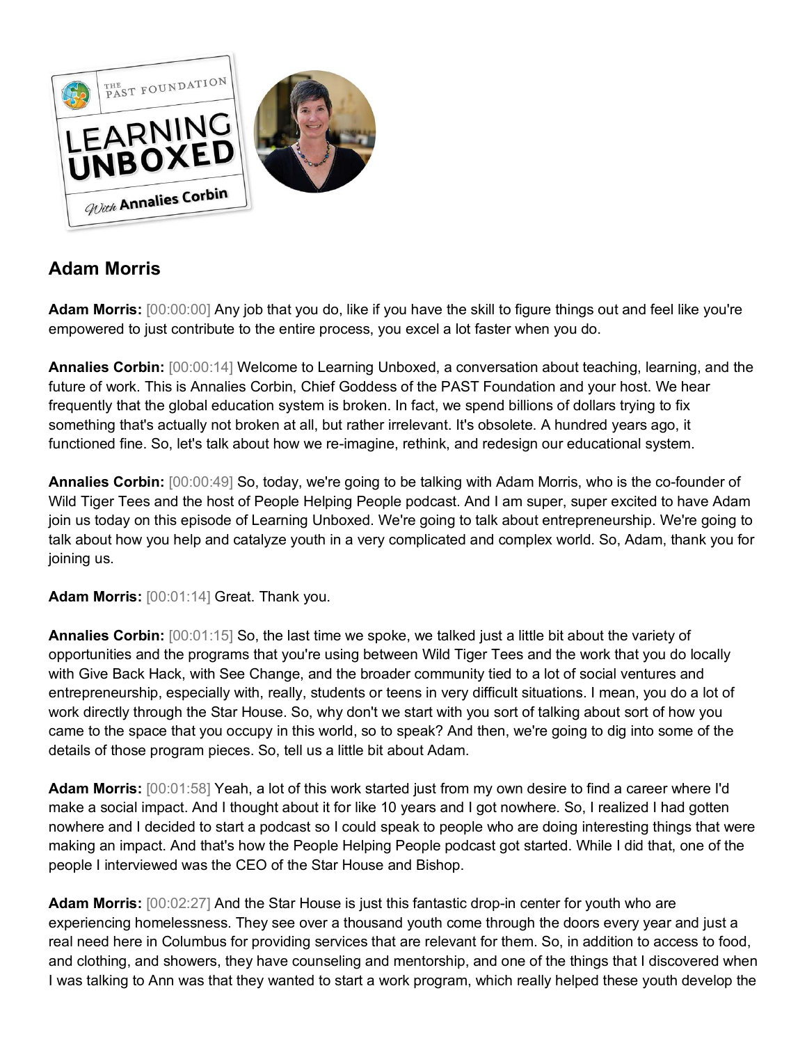

## **Adam Morris**

**Adam Morris:** [00:00:00] Any job that you do, like if you have the skill to figure things out and feel like you're empowered to just contribute to the entire process, you excel a lot faster when you do.

**Annalies Corbin:** [00:00:14] Welcome to Learning Unboxed, a conversation about teaching, learning, and the future of work. This is Annalies Corbin, Chief Goddess of the PAST Foundation and your host. We hear frequently that the global education system is broken. In fact, we spend billions of dollars trying to fix something that's actually not broken at all, but rather irrelevant. It's obsolete. A hundred years ago, it functioned fine. So, let's talk about how we re-imagine, rethink, and redesign our educational system.

**Annalies Corbin:** [00:00:49] So, today, we're going to be talking with Adam Morris, who is the co-founder of Wild Tiger Tees and the host of People Helping People podcast. And I am super, super excited to have Adam join us today on this episode of Learning Unboxed. We're going to talk about entrepreneurship. We're going to talk about how you help and catalyze youth in a very complicated and complex world. So, Adam, thank you for joining us.

**Adam Morris:** [00:01:14] Great. Thank you.

**Annalies Corbin:** [00:01:15] So, the last time we spoke, we talked just a little bit about the variety of opportunities and the programs that you're using between Wild Tiger Tees and the work that you do locally with Give Back Hack, with See Change, and the broader community tied to a lot of social ventures and entrepreneurship, especially with, really, students or teens in very difficult situations. I mean, you do a lot of work directly through the Star House. So, why don't we start with you sort of talking about sort of how you came to the space that you occupy in this world, so to speak? And then, we're going to dig into some of the details of those program pieces. So, tell us a little bit about Adam.

**Adam Morris:** [00:01:58] Yeah, a lot of this work started just from my own desire to find a career where I'd make a social impact. And I thought about it for like 10 years and I got nowhere. So, I realized I had gotten nowhere and I decided to start a podcast so I could speak to people who are doing interesting things that were making an impact. And that's how the People Helping People podcast got started. While I did that, one of the people I interviewed was the CEO of the Star House and Bishop.

**Adam Morris:** [00:02:27] And the Star House is just this fantastic drop-in center for youth who are experiencing homelessness. They see over a thousand youth come through the doors every year and just a real need here in Columbus for providing services that are relevant for them. So, in addition to access to food, and clothing, and showers, they have counseling and mentorship, and one of the things that I discovered when I was talking to Ann was that they wanted to start a work program, which really helped these youth develop the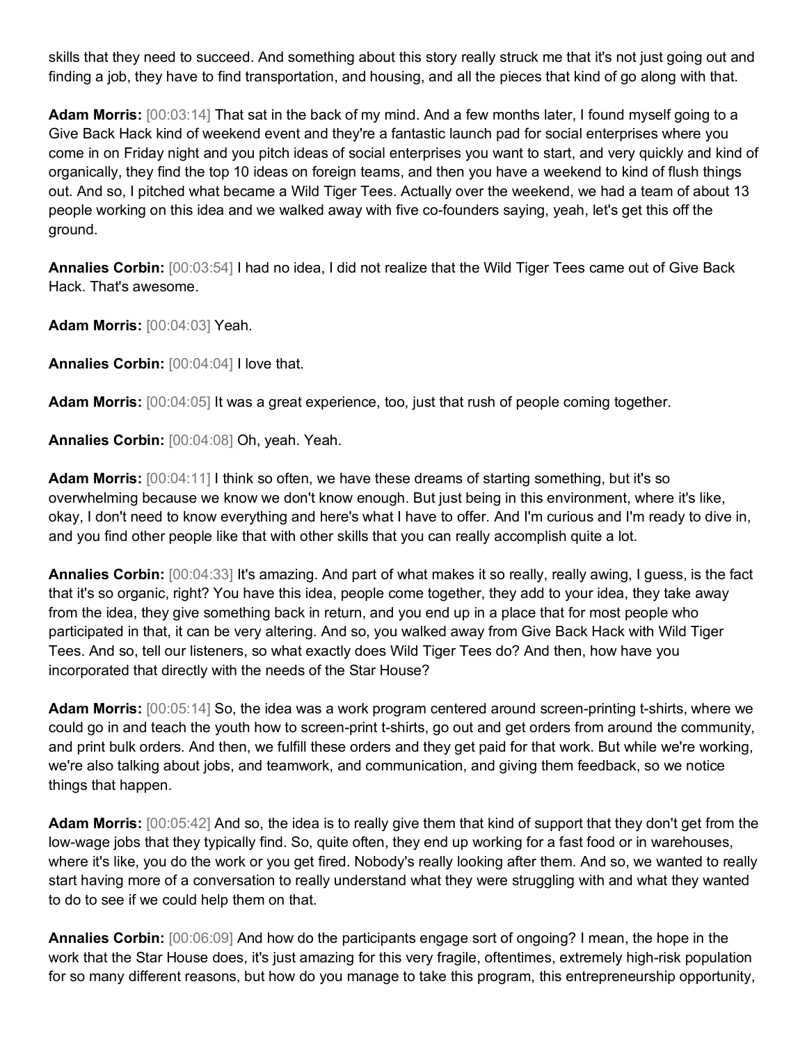skills that they need to succeed. And something about this story really struck me that it's not just going out and finding a job, they have to find transportation, and housing, and all the pieces that kind of go along with that.

**Adam Morris:** [00:03:14] That sat in the back of my mind. And a few months later, I found myself going to a Give Back Hack kind of weekend event and they're a fantastic launch pad for social enterprises where you come in on Friday night and you pitch ideas of social enterprises you want to start, and very quickly and kind of organically, they find the top 10 ideas on foreign teams, and then you have a weekend to kind of flush things out. And so, I pitched what became a Wild Tiger Tees. Actually over the weekend, we had a team of about 13 people working on this idea and we walked away with five co-founders saying, yeah, let's get this off the ground.

**Annalies Corbin:** [00:03:54] I had no idea, I did not realize that the Wild Tiger Tees came out of Give Back Hack. That's awesome.

**Adam Morris:** [00:04:03] Yeah.

**Annalies Corbin:** [00:04:04] I love that.

Adam Morris:  $[00:04:05]$  It was a great experience, too, just that rush of people coming together.

**Annalies Corbin:** [00:04:08] Oh, yeah. Yeah.

**Adam Morris:** [00:04:11] I think so often, we have these dreams of starting something, but it's so overwhelming because we know we don't know enough. But just being in this environment, where it's like, okay, I don't need to know everything and here's what I have to offer. And I'm curious and I'm ready to dive in, and you find other people like that with other skills that you can really accomplish quite a lot.

**Annalies Corbin:** [00:04:33] It's amazing. And part of what makes it so really, really awing, I guess, is the fact that it's so organic, right? You have this idea, people come together, they add to your idea, they take away from the idea, they give something back in return, and you end up in a place that for most people who participated in that, it can be very altering. And so, you walked away from Give Back Hack with Wild Tiger Tees. And so, tell our listeners, so what exactly does Wild Tiger Tees do? And then, how have you incorporated that directly with the needs of the Star House?

**Adam Morris:** [00:05:14] So, the idea was a work program centered around screen-printing t-shirts, where we could go in and teach the youth how to screen-print t-shirts, go out and get orders from around the community, and print bulk orders. And then, we fulfill these orders and they get paid for that work. But while we're working, we're also talking about jobs, and teamwork, and communication, and giving them feedback, so we notice things that happen.

**Adam Morris:** [00:05:42] And so, the idea is to really give them that kind of support that they don't get from the low-wage jobs that they typically find. So, quite often, they end up working for a fast food or in warehouses, where it's like, you do the work or you get fired. Nobody's really looking after them. And so, we wanted to really start having more of a conversation to really understand what they were struggling with and what they wanted to do to see if we could help them on that.

**Annalies Corbin:** [00:06:09] And how do the participants engage sort of ongoing? I mean, the hope in the work that the Star House does, it's just amazing for this very fragile, oftentimes, extremely high-risk population for so many different reasons, but how do you manage to take this program, this entrepreneurship opportunity,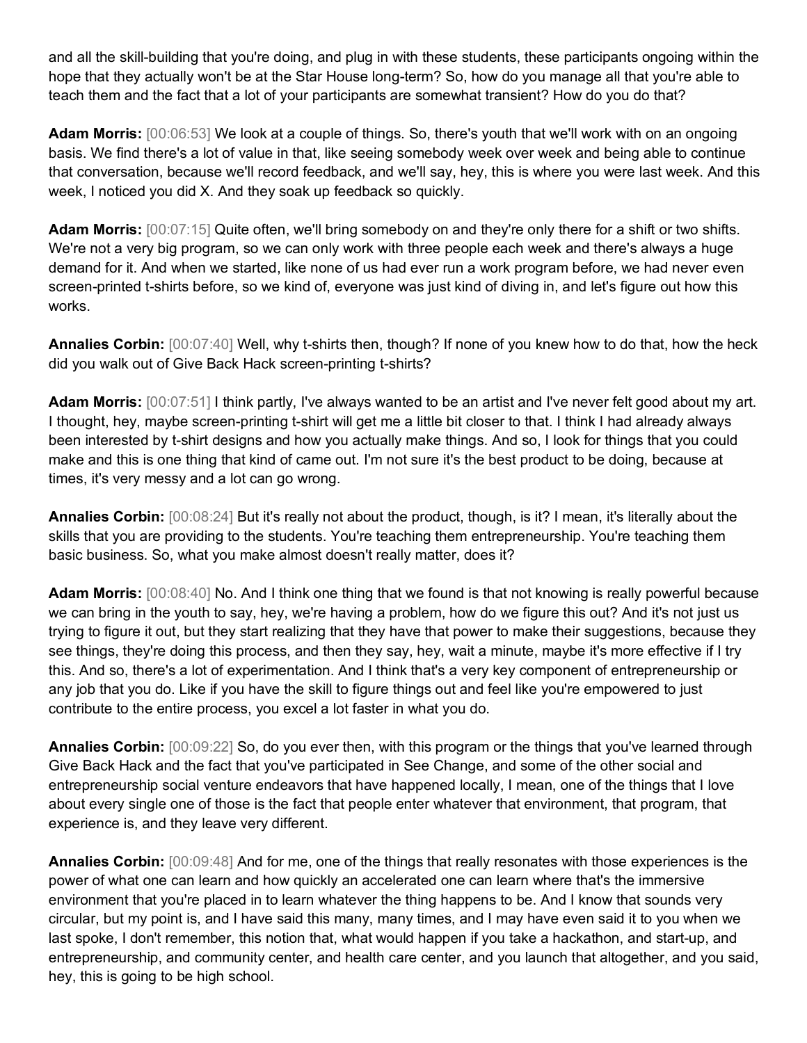and all the skill-building that you're doing, and plug in with these students, these participants ongoing within the hope that they actually won't be at the Star House long-term? So, how do you manage all that you're able to teach them and the fact that a lot of your participants are somewhat transient? How do you do that?

**Adam Morris:** [00:06:53] We look at a couple of things. So, there's youth that we'll work with on an ongoing basis. We find there's a lot of value in that, like seeing somebody week over week and being able to continue that conversation, because we'll record feedback, and we'll say, hey, this is where you were last week. And this week, I noticed you did X. And they soak up feedback so quickly.

**Adam Morris:** [00:07:15] Quite often, we'll bring somebody on and they're only there for a shift or two shifts. We're not a very big program, so we can only work with three people each week and there's always a huge demand for it. And when we started, like none of us had ever run a work program before, we had never even screen-printed t-shirts before, so we kind of, everyone was just kind of diving in, and let's figure out how this works.

**Annalies Corbin:** [00:07:40] Well, why t-shirts then, though? If none of you knew how to do that, how the heck did you walk out of Give Back Hack screen-printing t-shirts?

**Adam Morris:** [00:07:51] I think partly, I've always wanted to be an artist and I've never felt good about my art. I thought, hey, maybe screen-printing t-shirt will get me a little bit closer to that. I think I had already always been interested by t-shirt designs and how you actually make things. And so, I look for things that you could make and this is one thing that kind of came out. I'm not sure it's the best product to be doing, because at times, it's very messy and a lot can go wrong.

**Annalies Corbin:** [00:08:24] But it's really not about the product, though, is it? I mean, it's literally about the skills that you are providing to the students. You're teaching them entrepreneurship. You're teaching them basic business. So, what you make almost doesn't really matter, does it?

**Adam Morris:** [00:08:40] No. And I think one thing that we found is that not knowing is really powerful because we can bring in the youth to say, hey, we're having a problem, how do we figure this out? And it's not just us trying to figure it out, but they start realizing that they have that power to make their suggestions, because they see things, they're doing this process, and then they say, hey, wait a minute, maybe it's more effective if I try this. And so, there's a lot of experimentation. And I think that's a very key component of entrepreneurship or any job that you do. Like if you have the skill to figure things out and feel like you're empowered to just contribute to the entire process, you excel a lot faster in what you do.

**Annalies Corbin:** [00:09:22] So, do you ever then, with this program or the things that you've learned through Give Back Hack and the fact that you've participated in See Change, and some of the other social and entrepreneurship social venture endeavors that have happened locally, I mean, one of the things that I love about every single one of those is the fact that people enter whatever that environment, that program, that experience is, and they leave very different.

**Annalies Corbin:** [00:09:48] And for me, one of the things that really resonates with those experiences is the power of what one can learn and how quickly an accelerated one can learn where that's the immersive environment that you're placed in to learn whatever the thing happens to be. And I know that sounds very circular, but my point is, and I have said this many, many times, and I may have even said it to you when we last spoke, I don't remember, this notion that, what would happen if you take a hackathon, and start-up, and entrepreneurship, and community center, and health care center, and you launch that altogether, and you said, hey, this is going to be high school.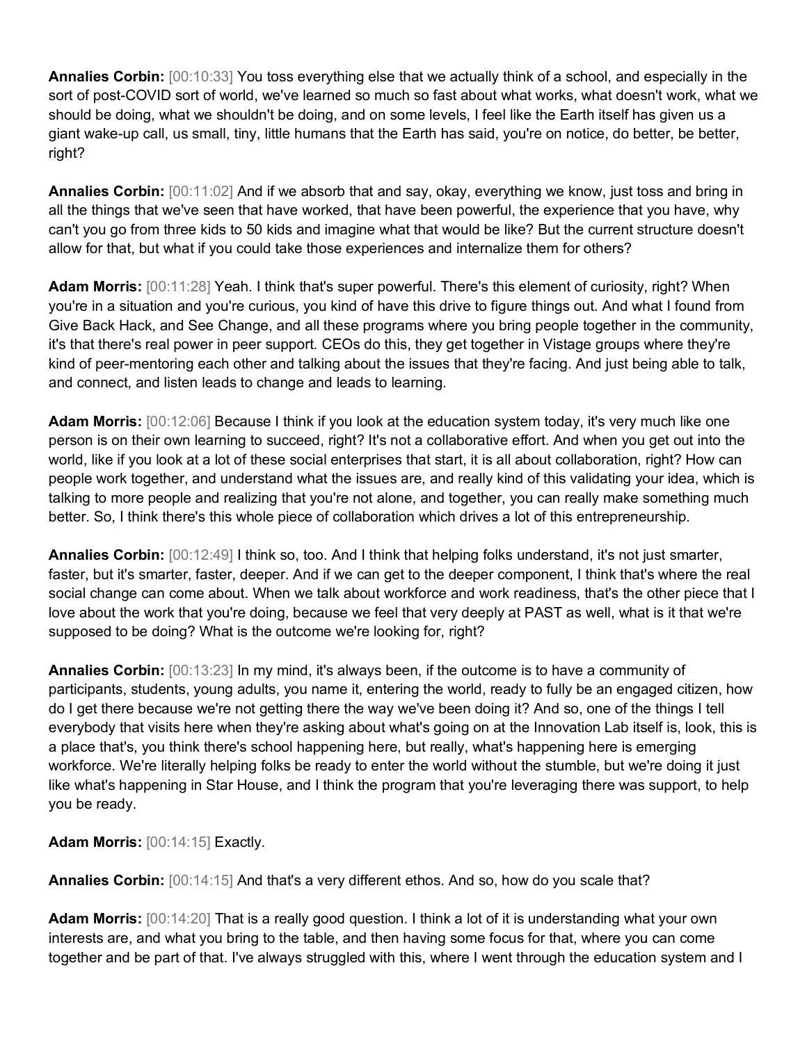**Annalies Corbin:** [00:10:33] You toss everything else that we actually think of a school, and especially in the sort of post-COVID sort of world, we've learned so much so fast about what works, what doesn't work, what we should be doing, what we shouldn't be doing, and on some levels, I feel like the Earth itself has given us a giant wake-up call, us small, tiny, little humans that the Earth has said, you're on notice, do better, be better, right?

**Annalies Corbin:** [00:11:02] And if we absorb that and say, okay, everything we know, just toss and bring in all the things that we've seen that have worked, that have been powerful, the experience that you have, why can't you go from three kids to 50 kids and imagine what that would be like? But the current structure doesn't allow for that, but what if you could take those experiences and internalize them for others?

**Adam Morris:** [00:11:28] Yeah. I think that's super powerful. There's this element of curiosity, right? When you're in a situation and you're curious, you kind of have this drive to figure things out. And what I found from Give Back Hack, and See Change, and all these programs where you bring people together in the community, it's that there's real power in peer support. CEOs do this, they get together in Vistage groups where they're kind of peer-mentoring each other and talking about the issues that they're facing. And just being able to talk, and connect, and listen leads to change and leads to learning.

**Adam Morris:** [00:12:06] Because I think if you look at the education system today, it's very much like one person is on their own learning to succeed, right? It's not a collaborative effort. And when you get out into the world, like if you look at a lot of these social enterprises that start, it is all about collaboration, right? How can people work together, and understand what the issues are, and really kind of this validating your idea, which is talking to more people and realizing that you're not alone, and together, you can really make something much better. So, I think there's this whole piece of collaboration which drives a lot of this entrepreneurship.

**Annalies Corbin:** [00:12:49] I think so, too. And I think that helping folks understand, it's not just smarter, faster, but it's smarter, faster, deeper. And if we can get to the deeper component, I think that's where the real social change can come about. When we talk about workforce and work readiness, that's the other piece that I love about the work that you're doing, because we feel that very deeply at PAST as well, what is it that we're supposed to be doing? What is the outcome we're looking for, right?

**Annalies Corbin:** [00:13:23] In my mind, it's always been, if the outcome is to have a community of participants, students, young adults, you name it, entering the world, ready to fully be an engaged citizen, how do I get there because we're not getting there the way we've been doing it? And so, one of the things I tell everybody that visits here when they're asking about what's going on at the Innovation Lab itself is, look, this is a place that's, you think there's school happening here, but really, what's happening here is emerging workforce. We're literally helping folks be ready to enter the world without the stumble, but we're doing it just like what's happening in Star House, and I think the program that you're leveraging there was support, to help you be ready.

**Adam Morris:** [00:14:15] Exactly.

**Annalies Corbin:** [00:14:15] And that's a very different ethos. And so, how do you scale that?

**Adam Morris:** [00:14:20] That is a really good question. I think a lot of it is understanding what your own interests are, and what you bring to the table, and then having some focus for that, where you can come together and be part of that. I've always struggled with this, where I went through the education system and I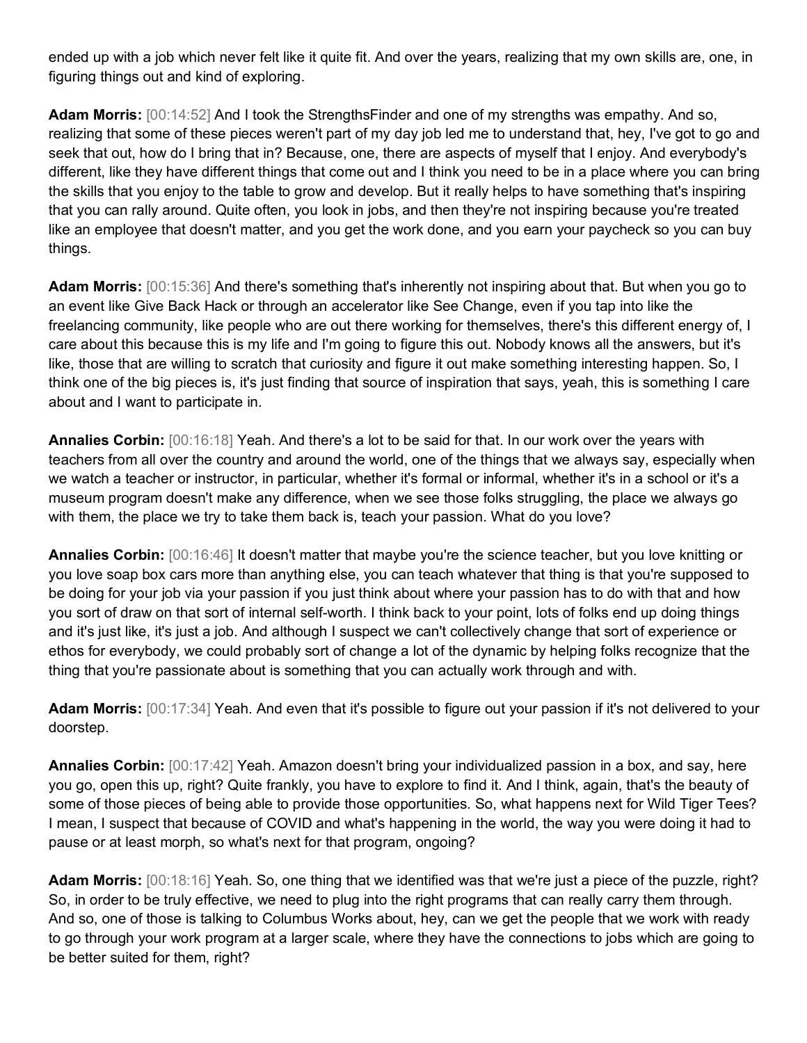ended up with a job which never felt like it quite fit. And over the years, realizing that my own skills are, one, in figuring things out and kind of exploring.

**Adam Morris:** [00:14:52] And I took the StrengthsFinder and one of my strengths was empathy. And so, realizing that some of these pieces weren't part of my day job led me to understand that, hey, I've got to go and seek that out, how do I bring that in? Because, one, there are aspects of myself that I enjoy. And everybody's different, like they have different things that come out and I think you need to be in a place where you can bring the skills that you enjoy to the table to grow and develop. But it really helps to have something that's inspiring that you can rally around. Quite often, you look in jobs, and then they're not inspiring because you're treated like an employee that doesn't matter, and you get the work done, and you earn your paycheck so you can buy things.

**Adam Morris:** [00:15:36] And there's something that's inherently not inspiring about that. But when you go to an event like Give Back Hack or through an accelerator like See Change, even if you tap into like the freelancing community, like people who are out there working for themselves, there's this different energy of, I care about this because this is my life and I'm going to figure this out. Nobody knows all the answers, but it's like, those that are willing to scratch that curiosity and figure it out make something interesting happen. So, I think one of the big pieces is, it's just finding that source of inspiration that says, yeah, this is something I care about and I want to participate in.

**Annalies Corbin:** [00:16:18] Yeah. And there's a lot to be said for that. In our work over the years with teachers from all over the country and around the world, one of the things that we always say, especially when we watch a teacher or instructor, in particular, whether it's formal or informal, whether it's in a school or it's a museum program doesn't make any difference, when we see those folks struggling, the place we always go with them, the place we try to take them back is, teach your passion. What do you love?

**Annalies Corbin:** [00:16:46] It doesn't matter that maybe you're the science teacher, but you love knitting or you love soap box cars more than anything else, you can teach whatever that thing is that you're supposed to be doing for your job via your passion if you just think about where your passion has to do with that and how you sort of draw on that sort of internal self-worth. I think back to your point, lots of folks end up doing things and it's just like, it's just a job. And although I suspect we can't collectively change that sort of experience or ethos for everybody, we could probably sort of change a lot of the dynamic by helping folks recognize that the thing that you're passionate about is something that you can actually work through and with.

**Adam Morris:** [00:17:34] Yeah. And even that it's possible to figure out your passion if it's not delivered to your doorstep.

**Annalies Corbin:** [00:17:42] Yeah. Amazon doesn't bring your individualized passion in a box, and say, here you go, open this up, right? Quite frankly, you have to explore to find it. And I think, again, that's the beauty of some of those pieces of being able to provide those opportunities. So, what happens next for Wild Tiger Tees? I mean, I suspect that because of COVID and what's happening in the world, the way you were doing it had to pause or at least morph, so what's next for that program, ongoing?

**Adam Morris:** [00:18:16] Yeah. So, one thing that we identified was that we're just a piece of the puzzle, right? So, in order to be truly effective, we need to plug into the right programs that can really carry them through. And so, one of those is talking to Columbus Works about, hey, can we get the people that we work with ready to go through your work program at a larger scale, where they have the connections to jobs which are going to be better suited for them, right?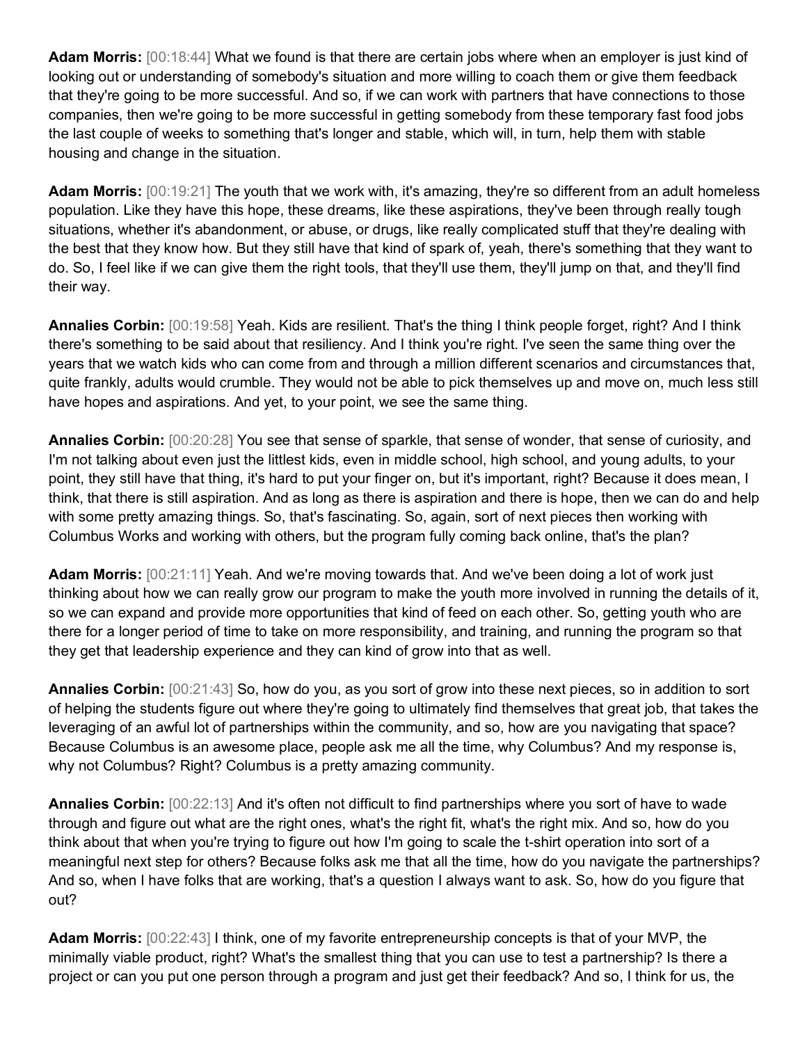**Adam Morris:** [00:18:44] What we found is that there are certain jobs where when an employer is just kind of looking out or understanding of somebody's situation and more willing to coach them or give them feedback that they're going to be more successful. And so, if we can work with partners that have connections to those companies, then we're going to be more successful in getting somebody from these temporary fast food jobs the last couple of weeks to something that's longer and stable, which will, in turn, help them with stable housing and change in the situation.

Adam Morris: [00:19:21] The youth that we work with, it's amazing, they're so different from an adult homeless population. Like they have this hope, these dreams, like these aspirations, they've been through really tough situations, whether it's abandonment, or abuse, or drugs, like really complicated stuff that they're dealing with the best that they know how. But they still have that kind of spark of, yeah, there's something that they want to do. So, I feel like if we can give them the right tools, that they'll use them, they'll jump on that, and they'll find their way.

**Annalies Corbin:** [00:19:58] Yeah. Kids are resilient. That's the thing I think people forget, right? And I think there's something to be said about that resiliency. And I think you're right. I've seen the same thing over the years that we watch kids who can come from and through a million different scenarios and circumstances that, quite frankly, adults would crumble. They would not be able to pick themselves up and move on, much less still have hopes and aspirations. And yet, to your point, we see the same thing.

**Annalies Corbin:** [00:20:28] You see that sense of sparkle, that sense of wonder, that sense of curiosity, and I'm not talking about even just the littlest kids, even in middle school, high school, and young adults, to your point, they still have that thing, it's hard to put your finger on, but it's important, right? Because it does mean, I think, that there is still aspiration. And as long as there is aspiration and there is hope, then we can do and help with some pretty amazing things. So, that's fascinating. So, again, sort of next pieces then working with Columbus Works and working with others, but the program fully coming back online, that's the plan?

**Adam Morris:** [00:21:11] Yeah. And we're moving towards that. And we've been doing a lot of work just thinking about how we can really grow our program to make the youth more involved in running the details of it, so we can expand and provide more opportunities that kind of feed on each other. So, getting youth who are there for a longer period of time to take on more responsibility, and training, and running the program so that they get that leadership experience and they can kind of grow into that as well.

**Annalies Corbin:** [00:21:43] So, how do you, as you sort of grow into these next pieces, so in addition to sort of helping the students figure out where they're going to ultimately find themselves that great job, that takes the leveraging of an awful lot of partnerships within the community, and so, how are you navigating that space? Because Columbus is an awesome place, people ask me all the time, why Columbus? And my response is, why not Columbus? Right? Columbus is a pretty amazing community.

**Annalies Corbin:** [00:22:13] And it's often not difficult to find partnerships where you sort of have to wade through and figure out what are the right ones, what's the right fit, what's the right mix. And so, how do you think about that when you're trying to figure out how I'm going to scale the t-shirt operation into sort of a meaningful next step for others? Because folks ask me that all the time, how do you navigate the partnerships? And so, when I have folks that are working, that's a question I always want to ask. So, how do you figure that out?

**Adam Morris:** [00:22:43] I think, one of my favorite entrepreneurship concepts is that of your MVP, the minimally viable product, right? What's the smallest thing that you can use to test a partnership? Is there a project or can you put one person through a program and just get their feedback? And so, I think for us, the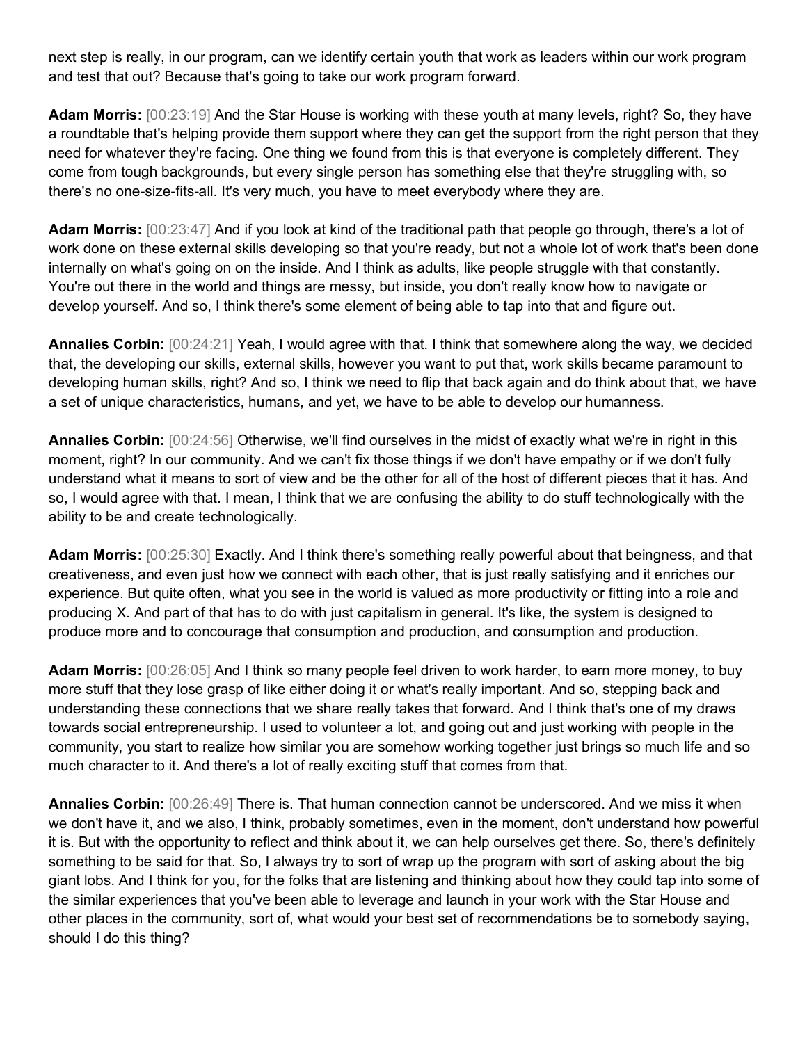next step is really, in our program, can we identify certain youth that work as leaders within our work program and test that out? Because that's going to take our work program forward.

**Adam Morris:** [00:23:19] And the Star House is working with these youth at many levels, right? So, they have a roundtable that's helping provide them support where they can get the support from the right person that they need for whatever they're facing. One thing we found from this is that everyone is completely different. They come from tough backgrounds, but every single person has something else that they're struggling with, so there's no one-size-fits-all. It's very much, you have to meet everybody where they are.

**Adam Morris:** [00:23:47] And if you look at kind of the traditional path that people go through, there's a lot of work done on these external skills developing so that you're ready, but not a whole lot of work that's been done internally on what's going on on the inside. And I think as adults, like people struggle with that constantly. You're out there in the world and things are messy, but inside, you don't really know how to navigate or develop yourself. And so, I think there's some element of being able to tap into that and figure out.

**Annalies Corbin:** [00:24:21] Yeah, I would agree with that. I think that somewhere along the way, we decided that, the developing our skills, external skills, however you want to put that, work skills became paramount to developing human skills, right? And so, I think we need to flip that back again and do think about that, we have a set of unique characteristics, humans, and yet, we have to be able to develop our humanness.

**Annalies Corbin:** [00:24:56] Otherwise, we'll find ourselves in the midst of exactly what we're in right in this moment, right? In our community. And we can't fix those things if we don't have empathy or if we don't fully understand what it means to sort of view and be the other for all of the host of different pieces that it has. And so, I would agree with that. I mean, I think that we are confusing the ability to do stuff technologically with the ability to be and create technologically.

**Adam Morris:** [00:25:30] Exactly. And I think there's something really powerful about that beingness, and that creativeness, and even just how we connect with each other, that is just really satisfying and it enriches our experience. But quite often, what you see in the world is valued as more productivity or fitting into a role and producing X. And part of that has to do with just capitalism in general. It's like, the system is designed to produce more and to concourage that consumption and production, and consumption and production.

**Adam Morris:** [00:26:05] And I think so many people feel driven to work harder, to earn more money, to buy more stuff that they lose grasp of like either doing it or what's really important. And so, stepping back and understanding these connections that we share really takes that forward. And I think that's one of my draws towards social entrepreneurship. I used to volunteer a lot, and going out and just working with people in the community, you start to realize how similar you are somehow working together just brings so much life and so much character to it. And there's a lot of really exciting stuff that comes from that.

**Annalies Corbin:** [00:26:49] There is. That human connection cannot be underscored. And we miss it when we don't have it, and we also, I think, probably sometimes, even in the moment, don't understand how powerful it is. But with the opportunity to reflect and think about it, we can help ourselves get there. So, there's definitely something to be said for that. So, I always try to sort of wrap up the program with sort of asking about the big giant lobs. And I think for you, for the folks that are listening and thinking about how they could tap into some of the similar experiences that you've been able to leverage and launch in your work with the Star House and other places in the community, sort of, what would your best set of recommendations be to somebody saying, should I do this thing?